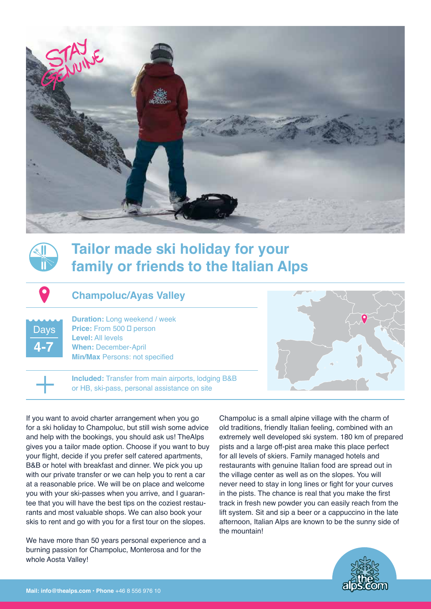



# **Tailor made ski holiday for your family or friends to the Italian Alps**

## **Champoluc/Ayas Valley**

Days **4-7**

**1**

**Duration:** Long weekend / week **Price:** From 500 □ person **Level:** All levels **When:** December-April **Min/Max** Persons: not specified

**Included:** Transfer from main airports, lodging B&B or HB, ski-pass, personal assistance on site

If you want to avoid charter arrangement when you go for a ski holiday to Champoluc, but still wish some advice and help with the bookings, you should ask us! TheAlps gives you a tailor made option. Choose if you want to buy your flight, decide if you prefer self catered apartments, B&B or hotel with breakfast and dinner. We pick you up with our private transfer or we can help you to rent a car at a reasonable price. We will be on place and welcome you with your ski-passes when you arrive, and I guarantee that you will have the best tips on the coziest restaurants and most valuable shops. We can also book your skis to rent and go with you for a first tour on the slopes.

We have more than 50 years personal experience and a burning passion for Champoluc, Monterosa and for the whole Aosta Valley!



Champoluc is a small alpine village with the charm of old traditions, friendly Italian feeling, combined with an extremely well developed ski system. 180 km of prepared pists and a large off-pist area make this place perfect for all levels of skiers. Family managed hotels and restaurants with genuine Italian food are spread out in the village center as well as on the slopes. You will never need to stay in long lines or fight for your curves in the pists. The chance is real that you make the first track in fresh new powder you can easily reach from the lift system. Sit and sip a beer or a cappuccino in the late afternoon, Italian Alps are known to be the sunny side of the mountain!